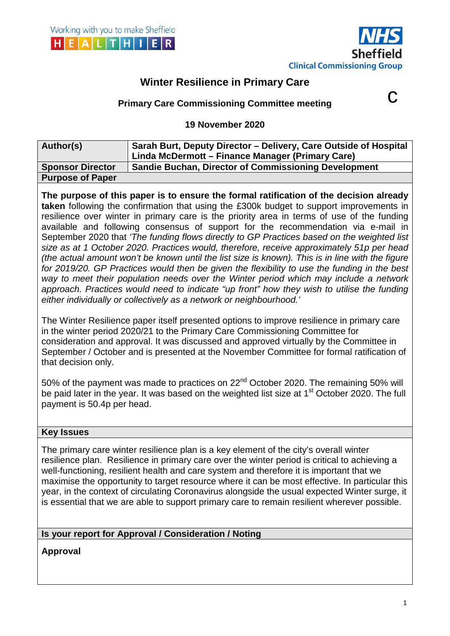



c

# **Winter Resilience in Primary Care**

## **Primary Care Commissioning Committee meeting**

**19 November 2020**

| Author(s)               | Sarah Burt, Deputy Director - Delivery, Care Outside of Hospital<br>Linda McDermott - Finance Manager (Primary Care) |
|-------------------------|----------------------------------------------------------------------------------------------------------------------|
| <b>Sponsor Director</b> | <b>Sandie Buchan, Director of Commissioning Development</b>                                                          |
| <b>Purpose of Paper</b> |                                                                                                                      |

**The purpose of this paper is to ensure the formal ratification of the decision already taken** following the confirmation that using the £300k budget to support improvements in resilience over winter in primary care is the priority area in terms of use of the funding available and following consensus of support for the recommendation via e-mail in September 2020 that *'The funding flows directly to GP Practices based on the weighted list size as at 1 October 2020. Practices would, therefore, receive approximately 51p per head (the actual amount won't be known until the list size is known). This is in line with the figure for 2019/20. GP Practices would then be given the flexibility to use the funding in the best way to meet their population needs over the Winter period which may include a network approach. Practices would need to indicate "up front" how they wish to utilise the funding either individually or collectively as a network or neighbourhood.'*

The Winter Resilience paper itself presented options to improve resilience in primary care in the winter period 2020/21 to the Primary Care Commissioning Committee for consideration and approval. It was discussed and approved virtually by the Committee in September / October and is presented at the November Committee for formal ratification of that decision only.

50% of the payment was made to practices on 22<sup>nd</sup> October 2020. The remaining 50% will be paid later in the year. It was based on the weighted list size at 1<sup>st</sup> October 2020. The full payment is 50.4p per head.

#### **Key Issues**

The primary care winter resilience plan is a key element of the city's overall winter resilience plan. Resilience in primary care over the winter period is critical to achieving a well-functioning, resilient health and care system and therefore it is important that we maximise the opportunity to target resource where it can be most effective. In particular this year, in the context of circulating Coronavirus alongside the usual expected Winter surge, it is essential that we are able to support primary care to remain resilient wherever possible.

## **Is your report for Approval / Consideration / Noting**

**Approval**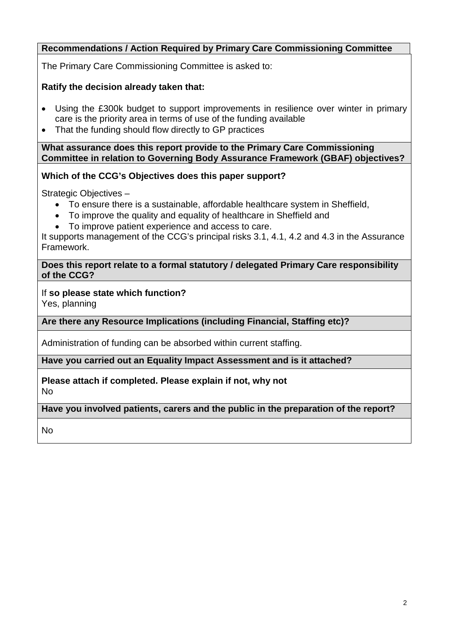# **Recommendations / Action Required by Primary Care Commissioning Committee**

The Primary Care Commissioning Committee is asked to:

## **Ratify the decision already taken that:**

- Using the £300k budget to support improvements in resilience over winter in primary care is the priority area in terms of use of the funding available
- That the funding should flow directly to GP practices

**What assurance does this report provide to the Primary Care Commissioning Committee in relation to Governing Body Assurance Framework (GBAF) objectives?**

### **Which of the CCG's Objectives does this paper support?**

Strategic Objectives –

- To ensure there is a sustainable, affordable healthcare system in Sheffield,
- To improve the quality and equality of healthcare in Sheffield and
- To improve patient experience and access to care.

It supports management of the CCG's principal risks 3.1, 4.1, 4.2 and 4.3 in the Assurance Framework.

#### **Does this report relate to a formal statutory / delegated Primary Care responsibility of the CCG?**

If **so please state which function?**

Yes, planning

**Are there any Resource Implications (including Financial, Staffing etc)?**

Administration of funding can be absorbed within current staffing.

**Have you carried out an Equality Impact Assessment and is it attached?**

**Please attach if completed. Please explain if not, why not** No

**Have you involved patients, carers and the public in the preparation of the report?** 

No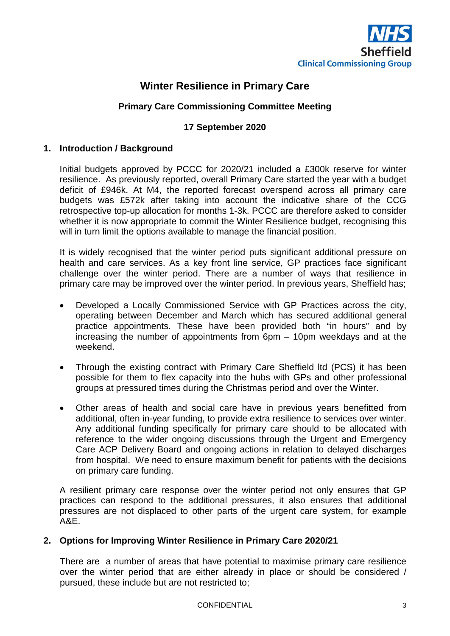

# **Winter Resilience in Primary Care**

## **Primary Care Commissioning Committee Meeting**

### **17 September 2020**

### **1. Introduction / Background**

Initial budgets approved by PCCC for 2020/21 included a £300k reserve for winter resilience. As previously reported, overall Primary Care started the year with a budget deficit of £946k. At M4, the reported forecast overspend across all primary care budgets was £572k after taking into account the indicative share of the CCG retrospective top-up allocation for months 1-3k. PCCC are therefore asked to consider whether it is now appropriate to commit the Winter Resilience budget, recognising this will in turn limit the options available to manage the financial position.

It is widely recognised that the winter period puts significant additional pressure on health and care services. As a key front line service, GP practices face significant challenge over the winter period. There are a number of ways that resilience in primary care may be improved over the winter period. In previous years, Sheffield has;

- Developed a Locally Commissioned Service with GP Practices across the city, operating between December and March which has secured additional general practice appointments. These have been provided both "in hours" and by increasing the number of appointments from 6pm – 10pm weekdays and at the weekend.
- Through the existing contract with Primary Care Sheffield ltd (PCS) it has been possible for them to flex capacity into the hubs with GPs and other professional groups at pressured times during the Christmas period and over the Winter.
- Other areas of health and social care have in previous years benefitted from additional, often in-year funding, to provide extra resilience to services over winter. Any additional funding specifically for primary care should to be allocated with reference to the wider ongoing discussions through the Urgent and Emergency Care ACP Delivery Board and ongoing actions in relation to delayed discharges from hospital. We need to ensure maximum benefit for patients with the decisions on primary care funding.

A resilient primary care response over the winter period not only ensures that GP practices can respond to the additional pressures, it also ensures that additional pressures are not displaced to other parts of the urgent care system, for example A&E.

### **2. Options for Improving Winter Resilience in Primary Care 2020/21**

There are a number of areas that have potential to maximise primary care resilience over the winter period that are either already in place or should be considered / pursued, these include but are not restricted to;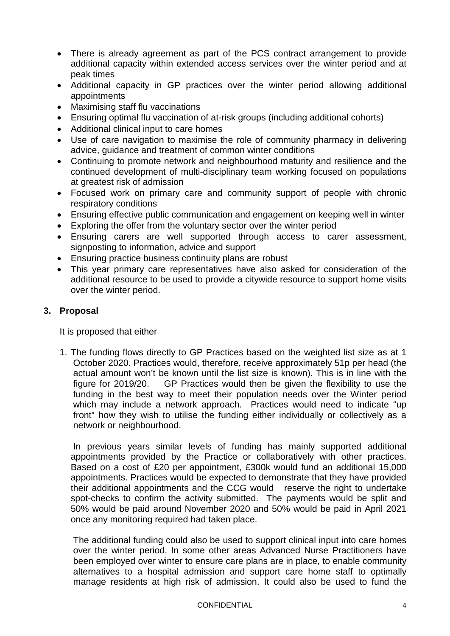- There is already agreement as part of the PCS contract arrangement to provide additional capacity within extended access services over the winter period and at peak times
- Additional capacity in GP practices over the winter period allowing additional appointments
- Maximising staff flu vaccinations
- Ensuring optimal flu vaccination of at-risk groups (including additional cohorts)
- Additional clinical input to care homes
- Use of care navigation to maximise the role of community pharmacy in delivering advice, guidance and treatment of common winter conditions
- Continuing to promote network and neighbourhood maturity and resilience and the continued development of multi-disciplinary team working focused on populations at greatest risk of admission
- Focused work on primary care and community support of people with chronic respiratory conditions
- Ensuring effective public communication and engagement on keeping well in winter
- Exploring the offer from the voluntary sector over the winter period
- Ensuring carers are well supported through access to carer assessment, signposting to information, advice and support
- Ensuring practice business continuity plans are robust
- This year primary care representatives have also asked for consideration of the additional resource to be used to provide a citywide resource to support home visits over the winter period.

# **3. Proposal**

It is proposed that either

1. The funding flows directly to GP Practices based on the weighted list size as at 1 October 2020. Practices would, therefore, receive approximately 51p per head (the actual amount won't be known until the list size is known). This is in line with the figure for 2019/20. GP Practices would then be given the flexibility to use the funding in the best way to meet their population needs over the Winter period which may include a network approach. Practices would need to indicate "up front" how they wish to utilise the funding either individually or collectively as a network or neighbourhood.

In previous years similar levels of funding has mainly supported additional appointments provided by the Practice or collaboratively with other practices. Based on a cost of £20 per appointment, £300k would fund an additional 15,000 appointments. Practices would be expected to demonstrate that they have provided their additional appointments and the CCG would reserve the right to undertake spot-checks to confirm the activity submitted. The payments would be split and 50% would be paid around November 2020 and 50% would be paid in April 2021 once any monitoring required had taken place.

The additional funding could also be used to support clinical input into care homes over the winter period. In some other areas Advanced Nurse Practitioners have been employed over winter to ensure care plans are in place, to enable community alternatives to a hospital admission and support care home staff to optimally manage residents at high risk of admission. It could also be used to fund the